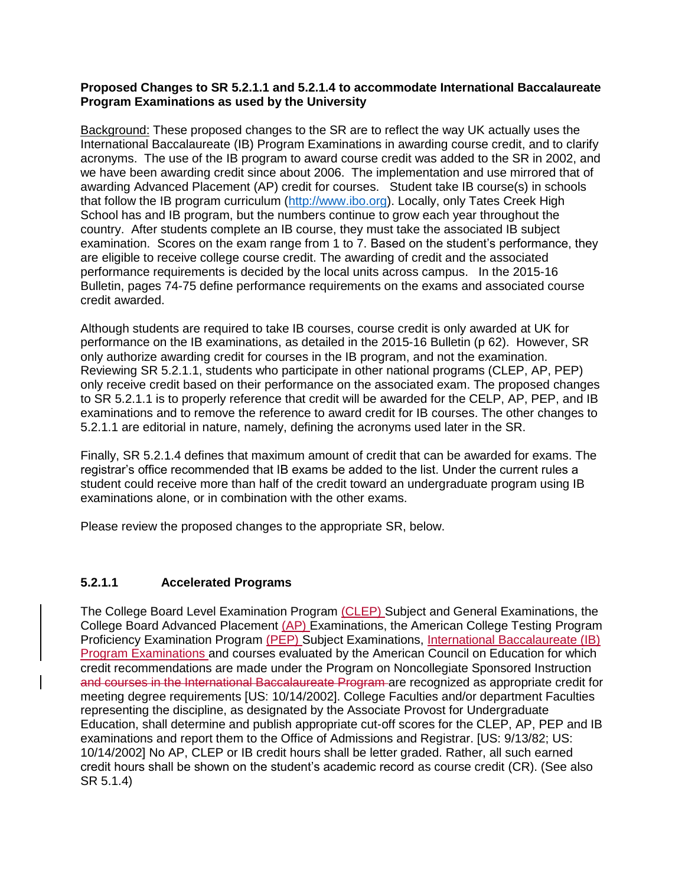## **Proposed Changes to SR 5.2.1.1 and 5.2.1.4 to accommodate International Baccalaureate Program Examinations as used by the University**

Background: These proposed changes to the SR are to reflect the way UK actually uses the International Baccalaureate (IB) Program Examinations in awarding course credit, and to clarify acronyms. The use of the IB program to award course credit was added to the SR in 2002, and we have been awarding credit since about 2006. The implementation and use mirrored that of awarding Advanced Placement (AP) credit for courses. Student take IB course(s) in schools that follow the IB program curriculum [\(http://www.ibo.org\)](http://www.ibo.org/). Locally, only Tates Creek High School has and IB program, but the numbers continue to grow each year throughout the country. After students complete an IB course, they must take the associated IB subject examination. Scores on the exam range from 1 to 7. Based on the student's performance, they are eligible to receive college course credit. The awarding of credit and the associated performance requirements is decided by the local units across campus. In the 2015-16 Bulletin, pages 74-75 define performance requirements on the exams and associated course credit awarded.

Although students are required to take IB courses, course credit is only awarded at UK for performance on the IB examinations, as detailed in the 2015-16 Bulletin (p 62). However, SR only authorize awarding credit for courses in the IB program, and not the examination. Reviewing SR 5.2.1.1, students who participate in other national programs (CLEP, AP, PEP) only receive credit based on their performance on the associated exam. The proposed changes to SR 5.2.1.1 is to properly reference that credit will be awarded for the CELP, AP, PEP, and IB examinations and to remove the reference to award credit for IB courses. The other changes to 5.2.1.1 are editorial in nature, namely, defining the acronyms used later in the SR.

Finally, SR 5.2.1.4 defines that maximum amount of credit that can be awarded for exams. The registrar's office recommended that IB exams be added to the list. Under the current rules a student could receive more than half of the credit toward an undergraduate program using IB examinations alone, or in combination with the other exams.

Please review the proposed changes to the appropriate SR, below.

## **5.2.1.1 Accelerated Programs**

The College Board Level Examination Program (CLEP) Subject and General Examinations, the College Board Advanced Placement (AP) Examinations, the American College Testing Program Proficiency Examination Program (PEP) Subject Examinations, International Baccalaureate (IB) Program Examinations and courses evaluated by the American Council on Education for which credit recommendations are made under the Program on Noncollegiate Sponsored Instruction and courses in the International Baccalaureate Program are recognized as appropriate credit for meeting degree requirements [US: 10/14/2002]. College Faculties and/or department Faculties representing the discipline, as designated by the Associate Provost for Undergraduate Education, shall determine and publish appropriate cut-off scores for the CLEP, AP, PEP and IB examinations and report them to the Office of Admissions and Registrar. [US: 9/13/82; US: 10/14/2002] No AP, CLEP or IB credit hours shall be letter graded. Rather, all such earned credit hours shall be shown on the student's academic record as course credit (CR). (See also SR 5.1.4)